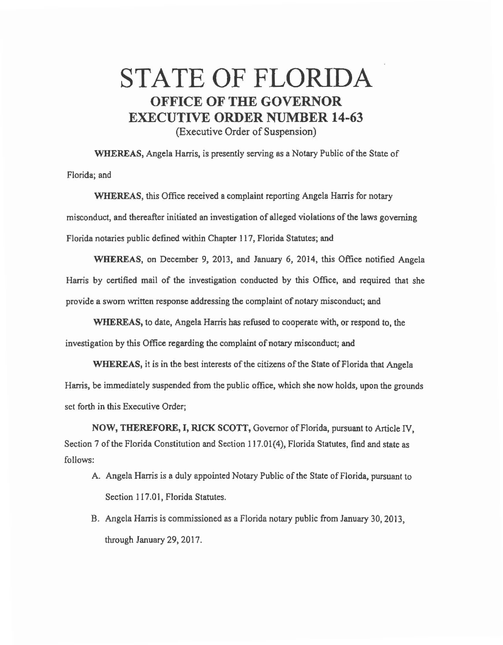## STATE OF FLORIDA OFFICE OF THE GOVERNOR EXECUTIVE ORDER NUMBER 14-63

(Executive Order of Suspension)

WHEREAS, Angela Harris, is presently serving as a Notary Public of the State of Florida; and

WHEREAS, this Office received a complaint reporting Angela Harris for notary misconduct, and thereafter initiated an investigation of alleged violations of the laws governing Florida notaries public defined within Chapter 117, Florida Statutes; and

WHEREAS, on December 9, 2013, and January 6, 2014, this Office notified Angela Harris by certified mail of the investigation conducted by this Office, and required that she provide a sworn written response addressing the complaint of notary misconduct; and

WHEREAS, to date, Angela Harris has refused to cooperate with, or respond to, the investigation by this Office regarding the complaint of notary misconduct; and

WHEREAS, it is in the best interests of the citizens of the State of Florida that Angela Hanis, be immediately suspended from the public office, which she now holds, upon the grounds set forth in this Executive Order;

NOW, THEREFORE, I, RICK SCOTT, Governor of Florida, pursuant to Article IV, Section 7 of the Florida Constitution and Section 117.01(4), Florida Statutes, find and state as follows:

- A. Angela Harris is a duly appointed Notary Public of the State of Florida, pursuant to Section 117.01, Florida Statutes.
- B. Angela Harris is commissioned as a Florida notary public from January 30, 2013, through January 29, 2017.